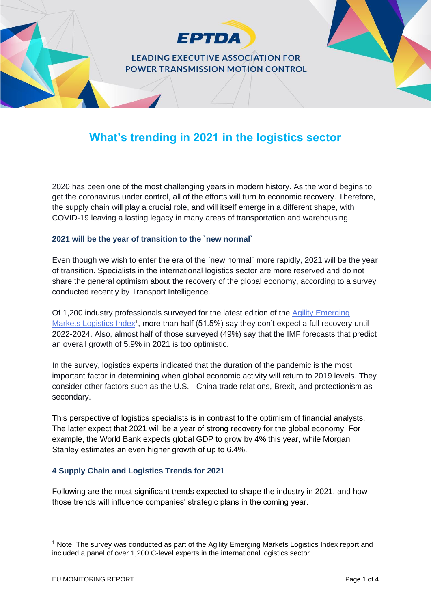

# **What's trending in 2021 in the logistics sector**

2020 has been one of the most challenging years in modern history. As the world begins to get the coronavirus under control, all of the efforts will turn to economic recovery. Therefore, the supply chain will play a crucial role, and will itself emerge in a different shape, with COVID-19 leaving a lasting legacy in many areas of transportation and warehousing.

#### **2021 will be the year of transition to the `new normal`**

Even though we wish to enter the era of the `new normal` more rapidly, 2021 will be the year of transition. Specialists in the international logistics sector are more reserved and do not share the general optimism about the recovery of the global economy, according to a survey conducted recently by Transport Intelligence.

Of 1,200 industry professionals surveyed for the latest edition of the [Agility Emerging](https://www.agility.com/en/logistics-industry-sees-global-recovery-out-of-reach-for-2021/)  [Markets Logistics Index](https://www.agility.com/en/logistics-industry-sees-global-recovery-out-of-reach-for-2021/)<sup>1</sup>, more than half (51.5%) say they don't expect a full recovery until 2022-2024. Also, almost half of those surveyed (49%) say that the IMF forecasts that predict an overall growth of 5.9% in 2021 is too optimistic.

In the survey, logistics experts indicated that the duration of the pandemic is the most important factor in determining when global economic activity will return to 2019 levels. They consider other factors such as the U.S. - China trade relations, Brexit, and protectionism as secondary.

This perspective of logistics specialists is in contrast to the optimism of financial analysts. The latter expect that 2021 will be a year of strong recovery for the global economy. For example, the World Bank expects global GDP to grow by 4% this year, while Morgan Stanley estimates an even higher growth of up to 6.4%.

#### **4 Supply Chain and Logistics Trends for 2021**

Following are the most significant trends expected to shape the industry in 2021, and how those trends will influence companies' strategic plans in the coming year.

<sup>&</sup>lt;sup>1</sup> Note: The survey was conducted as part of the Agility Emerging Markets Logistics Index report and included a panel of over 1,200 C-level experts in the international logistics sector.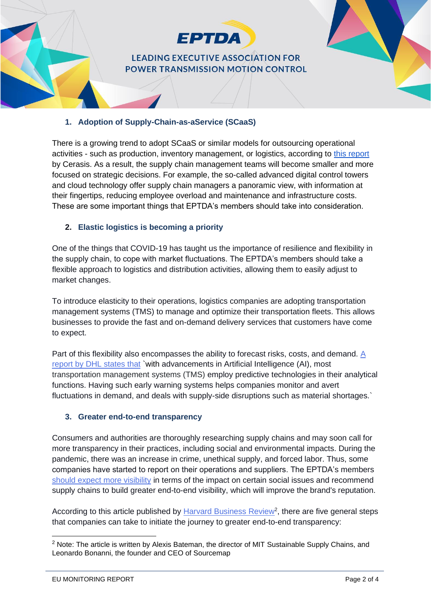

# **LEADING EXECUTIVE ASSOCIATION FOR** POWER TRANSMISSION MOTION CONTROL

#### **1. Adoption of Supply-Chain-as-aService (SCaaS)**

There is a growing trend to adopt SCaaS or similar models for outsourcing operational activities - such as production, inventory management, or logistics, according to [this report](https://cerasis.com/2021-trends-in-the-supply-chain/) by Cerasis. As a result, the supply chain management teams will become smaller and more focused on strategic decisions. For example, the so-called advanced digital control towers and cloud technology offer supply chain managers a panoramic view, with information at their fingertips, reducing employee overload and maintenance and infrastructure costs. These are some important things that EPTDA's members should take into consideration.

#### **2. Elastic logistics is becoming a priority**

One of the things that COVID-19 has taught us the importance of resilience and flexibility in the supply chain, to cope with market fluctuations. The EPTDA's members should take a flexible approach to logistics and distribution activities, allowing them to easily adjust to market changes.

To introduce elasticity to their operations, logistics companies are adopting transportation management systems (TMS) to manage and optimize their transportation fleets. This allows businesses to provide the fast and on-demand delivery services that customers have come to expect.

Part of this flexibility also encompasses the ability to forecast risks, costs, and demand. A [report by DHL states that](https://lot.dhl.com/glossary/elastic-logistics/) [`with](https://lot.dhl.com/glossary/elastic-logistics/) advancements in Artificial Intelligence (AI), most transportation management systems (TMS) employ predictive technologies in their analytical functions. Having such early warning systems helps companies monitor and avert fluctuations in demand, and deals with supply-side disruptions such as material shortages.`

#### **3. Greater end-to-end transparency**

Consumers and authorities are thoroughly researching supply chains and may soon call for more transparency in their practices, including social and environmental impacts. During the pandemic, there was an increase in crime, unethical supply, and forced labor. Thus, some companies have started to report on their operations and suppliers. The EPTDA's members [should expect more visibility](https://www.optac.info/uk/supply-chain-transparency-logistics-sector/) in terms of the impact on certain social issues and recommend supply chains to build greater end-to-end visibility, which will improve the brand's reputation.

According to this article published by [Harvard Business Review](https://hbr.org/2019/08/what-supply-chain-transparency-really-means)<sup>2</sup>, there are five general steps that companies can take to initiate the journey to greater end-to-end transparency:

<sup>&</sup>lt;sup>2</sup> Note: The article is written by Alexis Bateman, the director of MIT Sustainable Supply Chains, and Leonardo Bonanni, the founder and CEO of Sourcemap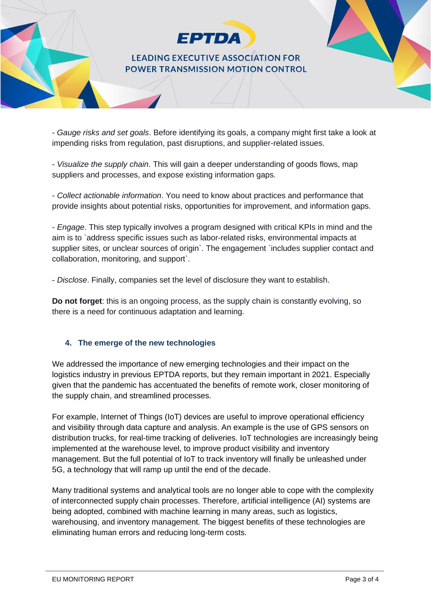

## **LEADING EXECUTIVE ASSOCIATION FOR** POWER TRANSMISSION MOTION CONTROL

- *Gauge risks and set goals*. Before identifying its goals, a company might first take a look at impending risks from regulation, past disruptions, and supplier-related issues.

- *Visualize the supply chain*. This will gain a deeper understanding of goods flows, map suppliers and processes, and expose existing information gaps.

- *Collect actionable information*. You need to know about practices and performance that provide insights about potential risks, opportunities for improvement, and information gaps.

- *Engage*. This step typically involves a program designed with critical KPIs in mind and the aim is to `address specific issues such as labor-related risks, environmental impacts at supplier sites, or unclear sources of origin`. The engagement `includes supplier contact and collaboration, monitoring, and support`.

- *Disclose*. Finally, companies set the level of disclosure they want to establish.

**Do not forget**: this is an ongoing process, as the supply chain is constantly evolving, so there is a need for continuous adaptation and learning.

## **4. The emerge of the new technologies**

We addressed the importance of new emerging technologies and their impact on the logistics industry in previous EPTDA reports, but they remain important in 2021. Especially given that the pandemic has accentuated the benefits of remote work, closer monitoring of the supply chain, and streamlined processes.

For example, Internet of Things (IoT) devices are useful to improve operational efficiency and visibility through data capture and analysis. An example is the use of GPS sensors on distribution trucks, for real-time tracking of deliveries. IoT technologies are increasingly being implemented at the warehouse level, to improve product visibility and inventory management. But the full potential of IoT to track inventory will finally be unleashed under 5G, a technology that will ramp up until the end of the decade.

Many traditional systems and analytical tools are no longer able to cope with the complexity of interconnected supply chain processes. Therefore, artificial intelligence (AI) systems are being adopted, combined with machine learning in many areas, such as logistics, warehousing, and inventory management. The biggest benefits of these technologies are eliminating human errors and reducing long-term costs.